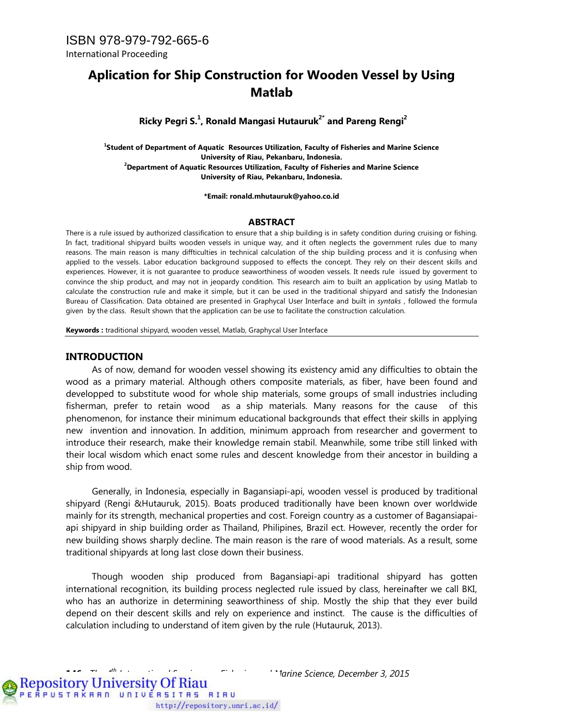## **Aplication for Ship Construction for Wooden Vessel by Using Matlab**

**Ricky Pegri S.1 , Ronald Mangasi Hutauruk2\* and Pareng Rengi2**

**1 Student of Department of Aquatic Resources Utilization, Faculty of Fisheries and Marine Science University of Riau, Pekanbaru, Indonesia. 2 Department of Aquatic Resources Utilization, Faculty of Fisheries and Marine Science University of Riau, Pekanbaru, Indonesia.**

**\*Email: ronald.mhutauruk@yahoo.co.id**

#### **ABSTRACT**

There is a rule issued by authorized classification to ensure that a ship building is in safety condition during cruising or fishing. In fact, traditional shipyard builts wooden vessels in unique way, and it often neglects the government rules due to many reasons. The main reason is many diffticulties in technical calculation of the ship building process and it is confusing when applied to the vessels. Labor education background supposed to effects the concept. They rely on their descent skills and experiences. However, it is not guarantee to produce seaworthiness of wooden vessels. It needs rule issued by goverment to convince the ship product, and may not in jeopardy condition. This research aim to built an application by using Matlab to calculate the construction rule and make it simple, but it can be used in the traditional shipyard and satisfy the Indonesian Bureau of Classification. Data obtained are presented in Graphycal User Interface and built in *syntaks* , followed the formula given by the class. Result shown that the application can be use to facilitate the construction calculation.

**Keywords :** traditional shipyard, wooden vessel, Matlab, Graphycal User Interface

#### **INTRODUCTION**

As of now, demand for wooden vessel showing its existency amid any difficulties to obtain the wood as a primary material. Although others composite materials, as fiber, have been found and developped to substitute wood for whole ship materials, some groups of small industries including fisherman, prefer to retain wood as a ship materials. Many reasons for the cause of this phenomenon, for instance their minimum educational backgrounds that effect their skills in applying new invention and innovation. In addition, minimum approach from researcher and goverment to introduce their research, make their knowledge remain stabil. Meanwhile, some tribe still linked with their local wisdom which enact some rules and descent knowledge from their ancestor in building a ship from wood.

Generally, in Indonesia, especially in Bagansiapi-api, wooden vessel is produced by traditional shipyard (Rengi &Hutauruk, 2015). Boats produced traditionally have been known over worldwide mainly for its strength, mechanical properties and cost. Foreign country as a customer of Bagansiapaiapi shipyard in ship building order as Thailand, Philipines, Brazil ect. However, recently the order for new building shows sharply decline. The main reason is the rare of wood materials. As a result, some traditional shipyards at long last close down their business.

Though wooden ship produced from Bagansiapi-api traditional shipyard has gotten international recognition, its building process neglected rule issued by class, hereinafter we call BKI, who has an authorize in determining seaworthiness of ship. Mostly the ship that they ever build depend on their descent skills and rely on experience and instinct. The cause is the difficulties of calculation including to understand of item given by the rule (Hutauruk, 2013).

**146** *The 4th International Seminar on Fisheries and Marine Science, December 3, 2015* 

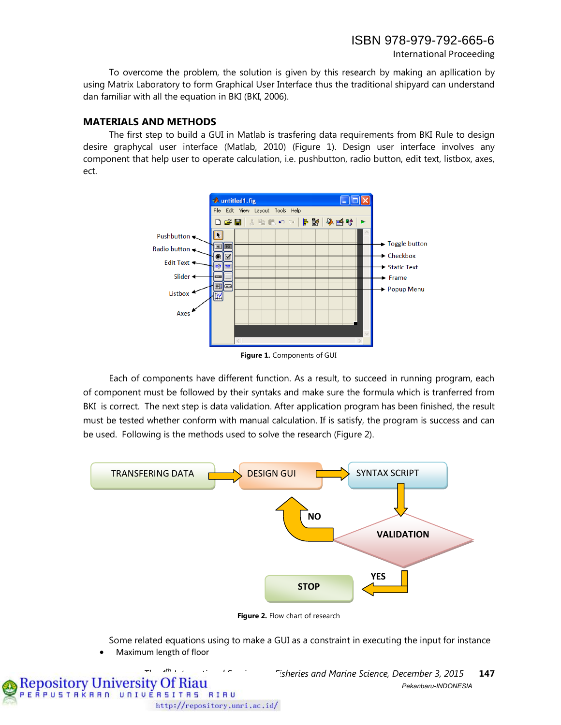International Proceeding

To overcome the problem, the solution is given by this research by making an apllication by using Matrix Laboratory to form Graphical User Interface thus the traditional shipyard can understand dan familiar with all the equation in BKI (BKI, 2006).

### **MATERIALS AND METHODS**

The first step to build a GUI in Matlab is trasfering data requirements from BKI Rule to design desire graphycal user interface (Matlab, 2010) (Figure 1). Design user interface involves any component that help user to operate calculation, i.e. pushbutton, radio button, edit text, listbox, axes, ect.



**Figure 1.** Components of GUI

Each of components have different function. As a result, to succeed in running program, each of component must be followed by their syntaks and make sure the formula which is tranferred from BKI is correct. The next step is data validation. After application program has been finished, the result must be tested whether conform with manual calculation. If is satisfy, the program is success and can be used. Following is the methods used to solve the research (Figure 2).



**Figure 2.** Flow chart of research

Some related equations using to make a GUI as a constraint in executing the input for instance

• Maximum length of floor

http://repository.unri.ac.id/

EÂPUSTAKAAN UNIVERSITAS RIAU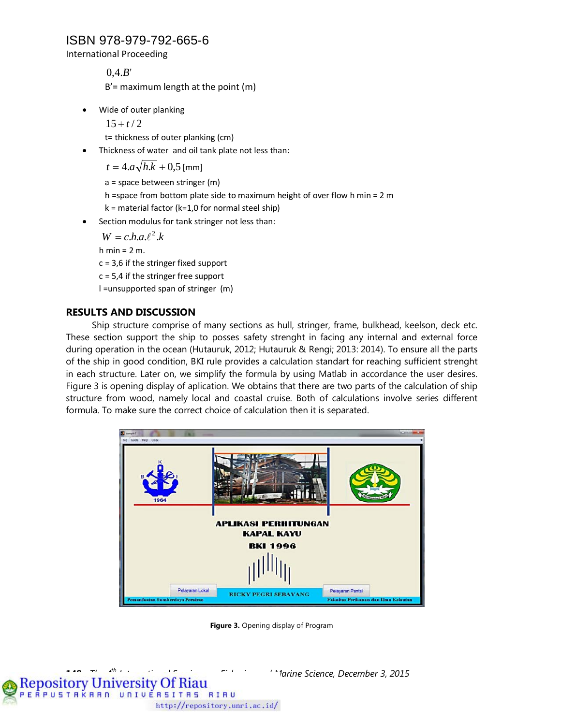International Proceeding

 $0.4.B'$  $B'$  = maximum length at the point (m)

• Wide of outer planking

 $15 + t/2$ 

t= thickness of outer planking (cm)

• Thickness of water and oil tank plate not less than:

 $t = 4.a\sqrt{h.k} + 0.5$  [mm]

a = space between stringer (m)

- h =space from bottom plate side to maximum height of over flow h min = 2 m
- $k =$  material factor (k=1,0 for normal steel ship)
- Section modulus for tank stringer not less than:

 $W = c.h.a.\ell^2.k$ 

h min =  $2 m$ .

 $c = 3.6$  if the stringer fixed support

 $c = 5.4$  if the stringer free support

l =unsupported span of stringer (m)

### **RESULTS AND DISCUSSION**

Ship structure comprise of many sections as hull, stringer, frame, bulkhead, keelson, deck etc. These section support the ship to posses safety strenght in facing any internal and external force during operation in the ocean (Hutauruk, 2012; Hutauruk & Rengi; 2013: 2014). To ensure all the parts of the ship in good condition, BKI rule provides a calculation standart for reaching sufficient strenght in each structure. Later on, we simplify the formula by using Matlab in accordance the user desires. Figure 3 is opening display of aplication. We obtains that there are two parts of the calculation of ship structure from wood, namely local and coastal cruise. Both of calculations involve series different formula. To make sure the correct choice of calculation then it is separated.



**Figure 3.** Opening display of Program

**Repository University Of Riau<br>PERPUSTRKBBD UNIVERSITBS RIBU** http://repository.unri.ac.id/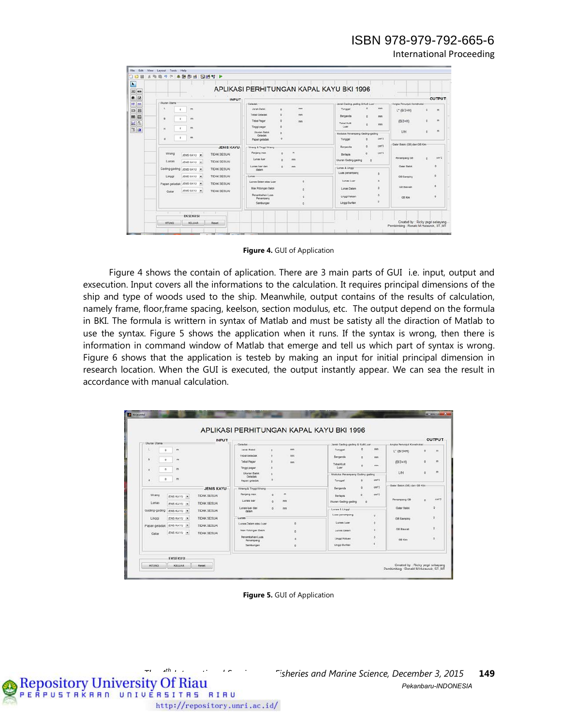International Proceeding

| ħ                                  |                                                                                         |                                                                                    |                                                               |                                   |
|------------------------------------|-----------------------------------------------------------------------------------------|------------------------------------------------------------------------------------|---------------------------------------------------------------|-----------------------------------|
| $\equiv$<br>m                      |                                                                                         | APLIKASI PERHITUNGAN KAPAL KAYU BKI 1996                                           |                                                               |                                   |
| ۰<br>ø                             | <b>INPUT</b>                                                                            |                                                                                    |                                                               | <b>OUTPUT</b>                     |
| u<br>HB <sup>1</sup><br><b>INT</b> | Ukuran Utama                                                                            | Celadak                                                                            | Jarak Gading-gading & Kulit Luar                              | Angka Penunjuk Konstruksi         |
| 63<br>囲                            | m<br>ó                                                                                  | <b>Part</b><br><b>Jarak Balok</b><br>ö<br><b>Tebal Geladak</b><br>b<br><b>Part</b> | mm<br>Tunggal                                                 | $\blacksquare$<br>$L^*$ (B/3+H)   |
| 腻<br>ш<br>显<br>٦.                  | $\theta$<br>m<br>$\circ$<br>m<br>f.                                                     | <b>Tebal Pagar</b><br>b<br>men<br>Tinggi pager                                     | Berganda<br>mm<br>Tebal Kult<br>mm<br>Luar                    | $\blacksquare$<br>(B/3+H)         |
| $x = x$                            | ×<br>$\blacksquare$<br>×                                                                | Ukuran Balok<br>Geladak<br>Papan geladak                                           | Modulus Penampang Gading-pading<br>cm <sub>2</sub><br>Tunggal | $\blacksquare$<br>L/H             |
|                                    | <b>JENIS KAYU</b>                                                                       | <b>Wrang &amp; Tinggi Wrang</b>                                                    | certi<br>Berganda                                             | Galar Balok (GB) dan GB Kim       |
|                                    | Wrang<br>TIDAK SESUAI<br>JENIS KAYU M<br>Lunas<br><b>TIDAK SESUAI</b><br>JENS KAYU      | Panjang max<br>m<br>Lunas lust<br>mm                                               | cm <sup>3</sup><br><b>Derisoin</b><br>Ukuran Gading-gading    | cm <sup>2</sup> 2<br>Penampang GB |
|                                    | Gading-gading JENS KAYU<br>TIDAK SESUAL                                                 | Lunas luar dan<br>mm<br>dalam                                                      | Lunas & Linggi<br>Luas penampang<br>×                         | ä<br>Galar Balok                  |
|                                    | <b>TIDAK SESUAL</b><br>JENS KAYU<br>Linggi<br>Papan geladak JENS KAYU -<br>TIDAK SESUAL | -Lunas<br>Lunas Dalam ateu Luar                                                    | Lunas Lusr                                                    | $\circ$<br><b>GB Samping</b>      |
|                                    | JENS KAYU<br><b>TIDAK SESUAL</b><br>Galar                                               | <b>Max Potongen Balok</b><br><b>Penanbahan Luas</b>                                | Lunas Dalam                                                   | $\delta$<br><b>08 Bawah</b>       |
|                                    |                                                                                         | Penampang<br>Sambungan                                                             | Linggi Haluan<br>Linggi Burtan                                | $\circ$<br>GB Kim                 |
|                                    | ٠<br>                                                                                   |                                                                                    |                                                               |                                   |

**Figure 4.** GUI of Application

Figure 4 shows the contain of aplication. There are 3 main parts of GUI i.e. input, output and exsecution. Input covers all the informations to the calculation. It requires principal dimensions of the ship and type of woods used to the ship. Meanwhile, output contains of the results of calculation, namely frame, floor,frame spacing, keelson, section modulus, etc. The output depend on the formula in BKI. The formula is writtern in syntax of Matlab and must be satisty all the diraction of Matlab to use the syntax. Figure 5 shows the application when it runs. If the syntax is wrong, then there is information in command window of Matlab that emerge and tell us which part of syntax is wrong. Figure 6 shows that the application is testeb by making an input for initial principal dimension in research location. When the GUI is executed, the output instantly appear. We can sea the result in accordance with manual calculation.

| Jarak Gading-gading & Kulit Luar |                                                                                         |
|----------------------------------|-----------------------------------------------------------------------------------------|
|                                  | Angka Penunjuk Konstruksi-                                                              |
|                                  | ö<br>$L^*$ (B/3+H)<br>$\mathbf{m}$                                                      |
| Berganda<br>$\alpha$             | mes                                                                                     |
| <b>Tebal Kult</b><br>Luar.       | m<br>$(B/3+H)$<br>$\circ$<br>mm.                                                        |
| Modulus Penampang Gading-gading  | m<br>LH<br>$\ddot{\alpha}$                                                              |
| Tunggal                          | cm <sub>2</sub>                                                                         |
|                                  | Galar Balok (GB) dan GB Kim<br>cm <sup>3</sup>                                          |
|                                  |                                                                                         |
| <b>Berlapis</b>                  | cm <sub>2</sub><br>Penampang GB                                                         |
| Ukuran Gading-gading<br>$\sim$   | $\Omega$                                                                                |
| Lunas & Linggi                   | <b>Galar Balok</b><br>$\circ$                                                           |
| Luas penampang<br>$\circ$        |                                                                                         |
|                                  | Ø.<br><b>GB Samping</b>                                                                 |
|                                  | ø<br>GB Bawah                                                                           |
| Lunas Dalam                      |                                                                                         |
| ø<br>Linggi Haluan               | $\circ$<br>GB Km                                                                        |
|                                  |                                                                                         |
|                                  | mes<br>O<br>Tunggal<br>Berganda<br>cm <sup>-3</sup><br>n<br><b>Lunes Luar</b><br>۰<br>ö |

**Figure 5.** GUI of Application

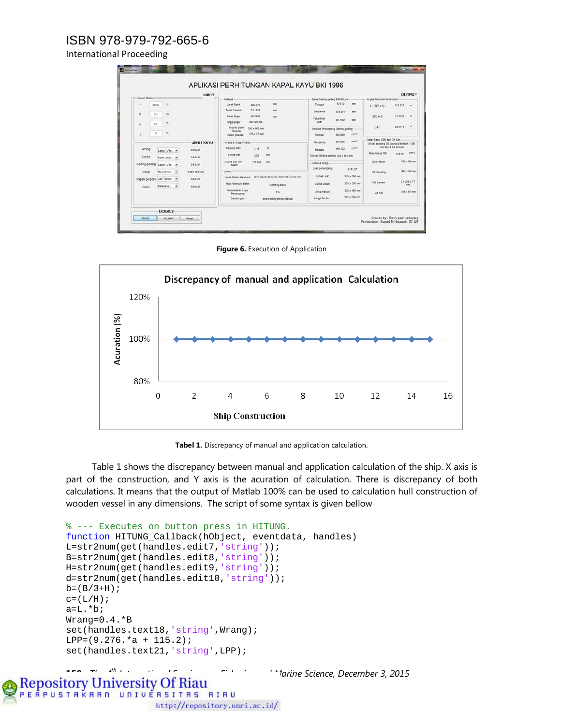#### International Proceeding

|                                        |                                                                                                                                                                                                                                            | <b>OUTPUT</b>                                                                                                                                                                                                                  |
|----------------------------------------|--------------------------------------------------------------------------------------------------------------------------------------------------------------------------------------------------------------------------------------------|--------------------------------------------------------------------------------------------------------------------------------------------------------------------------------------------------------------------------------|
| Geladak                                | Jarak Gading-gading & Kult Luar                                                                                                                                                                                                            | Angka Penunjuk Konstruksi                                                                                                                                                                                                      |
| <b>Jarak Balok</b><br>mm<br>886,079    | mm<br>Tunggal                                                                                                                                                                                                                              | 218,637<br>$\sim$<br>$L^*$ (B/3+H)                                                                                                                                                                                             |
| 74, 1536<br><b>Tebal Geladak</b><br>mm | Berganda<br>634,991<br>min                                                                                                                                                                                                                 |                                                                                                                                                                                                                                |
| 66,2908<br><b>Tebal Pagar</b><br>mm    |                                                                                                                                                                                                                                            | m<br>7.13333<br>$(B/3+H)$                                                                                                                                                                                                      |
| min 500 mm<br>Tinggi pagar             | Luse:                                                                                                                                                                                                                                      |                                                                                                                                                                                                                                |
| Ukuran Balok<br>$300 \times 160$ mm    |                                                                                                                                                                                                                                            | $\mathfrak{m}$<br>LH<br>8.81111                                                                                                                                                                                                |
| $370 \times 77$ mm                     | cer3<br>395, 889                                                                                                                                                                                                                           |                                                                                                                                                                                                                                |
|                                        |                                                                                                                                                                                                                                            | Galar Balok (GB) dan GB Kim                                                                                                                                                                                                    |
|                                        |                                                                                                                                                                                                                                            | di sisi samping OB utama di tambah 1 GB<br>sisi dan 2 GB bawah.                                                                                                                                                                |
|                                        | Berlapis                                                                                                                                                                                                                                   | Penanipang GB<br>em2                                                                                                                                                                                                           |
| mm<br>208                              | Ukuran Gading-gading 100 x 155 mm                                                                                                                                                                                                          | 910.28                                                                                                                                                                                                                         |
| Lunas luar dan<br>177,629<br>mm        | Lunas & Linggi                                                                                                                                                                                                                             | 290 x 86 mm<br><b>Galar Balok</b>                                                                                                                                                                                              |
|                                        | Luas penampang<br>2143.27                                                                                                                                                                                                                  | 146 x 146 mm                                                                                                                                                                                                                   |
|                                        |                                                                                                                                                                                                                                            | <b>GB Samping</b>                                                                                                                                                                                                              |
|                                        |                                                                                                                                                                                                                                            | $2 \times 255 \times 77$<br>GB Bawah                                                                                                                                                                                           |
| 3 potong balok                         |                                                                                                                                                                                                                                            | <b>Hotel</b>                                                                                                                                                                                                                   |
| <b>Penambidhan Luas</b><br>2%          | 325 x 480 mm<br>Linggi Haluan                                                                                                                                                                                                              | 305 x 67 mm<br><b>GB Km</b>                                                                                                                                                                                                    |
|                                        | 325 x 504 mm<br>Linggi Burtan                                                                                                                                                                                                              |                                                                                                                                                                                                                                |
|                                        | Geladek<br>Papen peladak<br>Wrang & Tinggi Wrang<br>Panjang max<br>$\mathfrak{m}$<br>3.16<br>Lunas luar<br>dalam.<br>Lunas<br>periu dipasang lunas dalam dan lunas luar<br>Lunas Dalam atau Luar<br><b>Max Potongan Balok</b><br>Penampang | 572.72<br><b>Tebal Kult</b><br>86,7698<br>mm<br>Modulus Penampang Gading-gading<br>Tunggal<br>car3<br>338.096<br>Berganda<br>cer3<br>199.132<br>310 x 390 mm<br><b>Lunes Luar</b><br>$325 \times 350$ mm<br><b>Lunas Dalam</b> |

**Figure 6.** Execution of Application



**Tabel 1.** Discrepancy of manual and application calculation.

Table 1 shows the discrepancy between manual and application calculation of the ship. X axis is part of the construction, and Y axis is the acuration of calculation. There is discrepancy of both calculations. It means that the output of Matlab 100% can be used to calculation hull construction of wooden vessel in any dimensions. The script of some syntax is given bellow

```
% --- Executes on button press in HITUNG.
function HITUNG_Callback(hObject, eventdata, handles)
L=str2num(get(handles.edit7,'string'));
B=str2num(get(handles.edit8,'string'));
H=str2num(get(handles.edit9,'string'));
d=str2num(get(handles.edit10,'string'));
b=(B/3+H);c=(L/H);
a=L.*b;
Wrang=0.4.*B
set(handles.text18,'string',Wrang);
LPP=(9.276.*a + 115.2);set(handles.text21,'string',LPP);
```
**150** *The 4th International Seminar on Fisheries and Marine Science, December 3, 2015* 

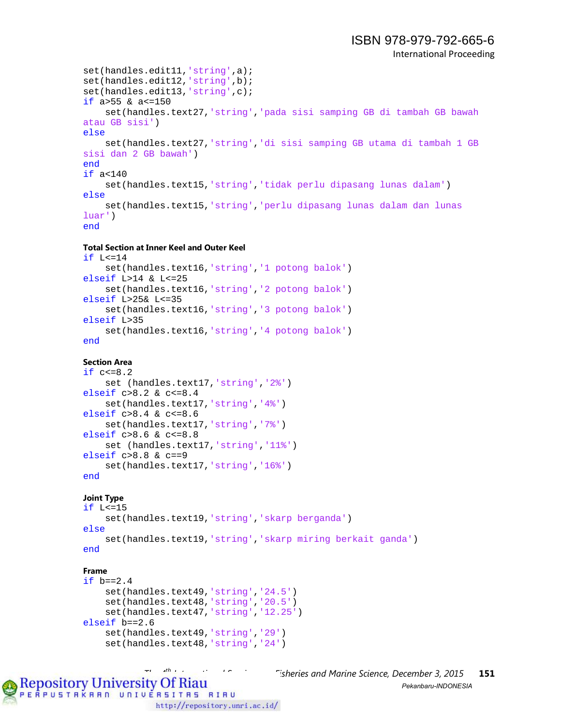```
set(handles.edit11,'string',a);
set(handles.edit12,'string',b);
set(handles.edit13,'string',c);
if a>55 & a<=150
     set(handles.text27,'string','pada sisi samping GB di tambah GB bawah 
atau GB sisi')
else
     set(handles.text27,'string','di sisi samping GB utama di tambah 1 GB 
sisi dan 2 GB bawah')
end
if a<140
     set(handles.text15,'string','tidak perlu dipasang lunas dalam')
else
     set(handles.text15,'string','perlu dipasang lunas dalam dan lunas 
luar')
end
```
#### **Total Section at Inner Keel and Outer Keel**

```
if L<=14
     set(handles.text16,'string','1 potong balok')
elseif L>14 & L<=25
     set(handles.text16,'string','2 potong balok')
elseif L>25& L<=35 
     set(handles.text16,'string','3 potong balok')
elseif L>35 
     set(handles.text16,'string','4 potong balok')
end
```
#### **Section Area**

```
if c < = 8.2 set (handles.text17,'string','2%')
elseif c>8.2 & c<=8.4
     set(handles.text17,'string','4%')
elseif c>8.4 & c<=8.6
     set(handles.text17,'string','7%')
elseif c>8.6 & c<=8.8
   set (handles.text17,'string','11%')
elseif c>8.8 & c==9
     set(handles.text17,'string','16%') 
end
```
#### **Joint Type**

```
if L<=15
    set(handles.text19,'string','skarp berganda')
else
     set(handles.text19,'string','skarp miring berkait ganda')
end
```
#### **Frame**

```
if b == 2.4 set(handles.text49,'string','24.5')
     set(handles.text48,'string','20.5')
     set(handles.text47,'string','12.25')
elseif b==2.6 
     set(handles.text49,'string','29')
     set(handles.text48,'string','24')
```
*Tisheries and Marine Science, December 3, 2015* **151**<br>*Pekanbaru-INDONFSIA Pekanbaru-INDONESIA*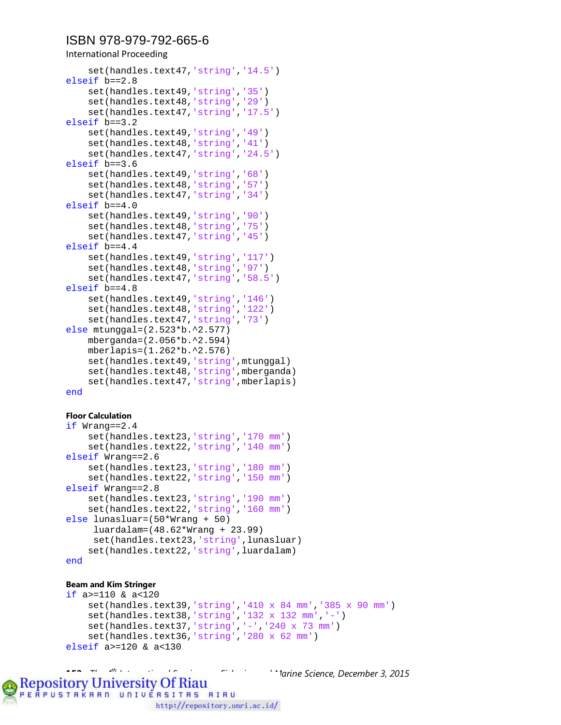International Proceeding

```
 set(handles.text47,'string','14.5')
elseif b==2.8 
     set(handles.text49,'string','35')
     set(handles.text48,'string','29')
     set(handles.text47,'string','17.5')
elseif b==3.2 
     set(handles.text49,'string','49')
     set(handles.text48,'string','41')
     set(handles.text47,'string','24.5')
elseif b==3.6
     set(handles.text49,'string','68')
     set(handles.text48,'string','57')
     set(handles.text47,'string','34')
elseif b==4.0
     set(handles.text49,'string','90')
     set(handles.text48,'string','75')
     set(handles.text47,'string','45')
elseif b==4.4
     set(handles.text49,'string','117')
     set(handles.text48,'string','97')
     set(handles.text47,'string','58.5')
elseif b==4.8 
     set(handles.text49,'string','146')
     set(handles.text48,'string','122')
     set(handles.text47,'string','73')
else mtunggal=(2.523*b.^2.577)
     mberganda=(2.056*b.^2.594)
     mberlapis=(1.262*b.^2.576)
     set(handles.text49,'string',mtunggal)
     set(handles.text48,'string',mberganda)
    set(handles.text47,'string',mberlapis)
end
```
#### **Floor Calculation**

```
if Wrang==2.4
     set(handles.text23,'string','170 mm')
     set(handles.text22,'string','140 mm')
elseif Wrang==2.6
     set(handles.text23,'string','180 mm')
     set(handles.text22,'string','150 mm')
elseif Wrang==2.8
     set(handles.text23,'string','190 mm')
     set(handles.text22,'string','160 mm')
else lunasluar=(50*Wrang + 50)
     luardalam=(48.62*Wrang + 23.99)
     set(handles.text23,'string',lunasluar)
     set(handles.text22,'string',luardalam)
end
```
#### **Beam and Kim Stringer**

```
if a>=110 & a<120
     set(handles.text39,'string','410 x 84 mm','385 x 90 mm')
     set(handles.text38,'string','132 x 132 mm','-')
     set(handles.text37,'string','-','240 x 73 mm')
     set(handles.text36,'string','280 x 62 mm')
elseif a>=120 & a<130
```
**152** *The 4th International Seminar on Fisheries and Marine Science, December 3, 2015* 

**Repository University Of Riau**<br>PERPUSTBKBBD UNIVERSITBS BIBU

http://repository.unri.ac.id/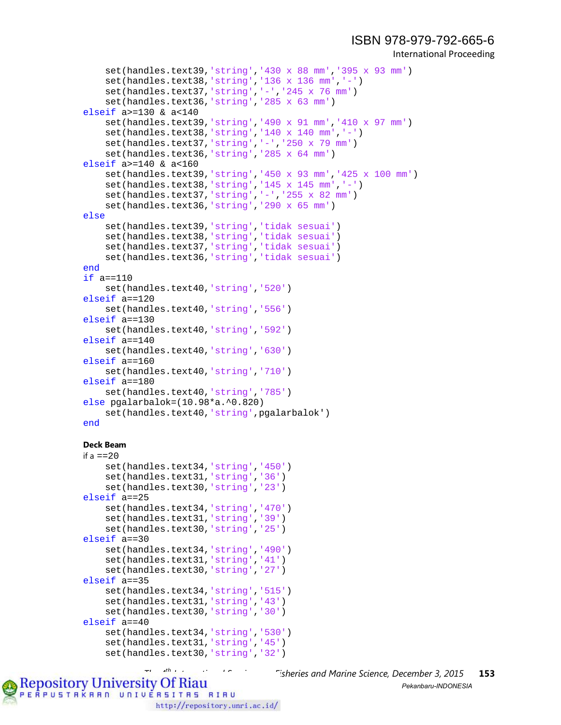```
International Proceeding
```

```
 set(handles.text39,'string','430 x 88 mm','395 x 93 mm')
     set(handles.text38,'string','136 x 136 mm','-')
     set(handles.text37,'string','-','245 x 76 mm')
     set(handles.text36,'string','285 x 63 mm')
elseif a>=130 & a<140
     set(handles.text39,'string','490 x 91 mm','410 x 97 mm')
     set(handles.text38,'string','140 x 140 mm','-')
     set(handles.text37,'string','-','250 x 79 mm')
     set(handles.text36,'string','285 x 64 mm')
elseif a>=140 & a<160
     set(handles.text39,'string','450 x 93 mm','425 x 100 mm')
     set(handles.text38,'string','145 x 145 mm','-')
     set(handles.text37,'string','-','255 x 82 mm')
     set(handles.text36,'string','290 x 65 mm')
else
     set(handles.text39,'string','tidak sesuai')
     set(handles.text38,'string','tidak sesuai')
     set(handles.text37,'string','tidak sesuai')
     set(handles.text36,'string','tidak sesuai')
end
if a==110
     set(handles.text40,'string','520')
elseif a==120
     set(handles.text40,'string','556')
elseif a==130
     set(handles.text40,'string','592')
elseif a==140
     set(handles.text40,'string','630')
elseif a==160
     set(handles.text40,'string','710')
elseif a==180
     set(handles.text40,'string','785')
else pgalarbalok=(10.98*a.^0.820)
     set(handles.text40,'string',pgalarbalok')
end
Deck Beam
```

```
if a = 20 set(handles.text34,'string','450')
     set(handles.text31,'string','36')
     set(handles.text30,'string','23')
elseif a==25
     set(handles.text34,'string','470')
     set(handles.text31,'string','39')
     set(handles.text30,'string','25')
elseif a==30
     set(handles.text34,'string','490')
     set(handles.text31,'string','41')
     set(handles.text30,'string','27')
elseif a==35
     set(handles.text34,'string','515')
     set(handles.text31,'string','43')
     set(handles.text30,'string','30')
elseif a==40
     set(handles.text34,'string','530')
     set(handles.text31,'string','45')
     set(handles.text30,'string','32')
```
PERPUSTAKAAN UNIVERSITAS RIAU

*Tisheries and Marine Science, December 3, 2015* **153**<br>*Pekanbaru-INDONESIA Pekanbaru-INDONESIA*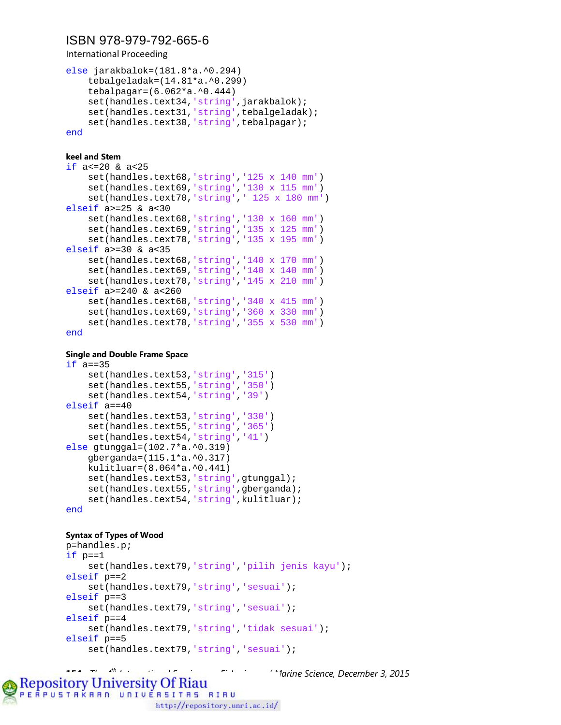International Proceeding

```
else jarakbalok=(181.8*a.^0.294)
     tebalgeladak=(14.81*a.^0.299)
     tebalpagar=(6.062*a.^0.444)
    set(handles.text34,'string',jarakbalok);
    set(handles.text31,'string',tebalgeladak);
    set(handles.text30,'string',tebalpagar);
end
```
#### **keel and Stem**

```
if a<=20 & a<25
     set(handles.text68,'string','125 x 140 mm')
     set(handles.text69,'string','130 x 115 mm')
     set(handles.text70,'string',' 125 x 180 mm')
elseif a>=25 & a<30
     set(handles.text68,'string','130 x 160 mm')
     set(handles.text69,'string','135 x 125 mm')
     set(handles.text70,'string','135 x 195 mm')
elseif a>=30 & a<35
     set(handles.text68,'string','140 x 170 mm')
     set(handles.text69,'string','140 x 140 mm')
     set(handles.text70,'string','145 x 210 mm')
elseif a>=240 & a<260
     set(handles.text68,'string','340 x 415 mm')
     set(handles.text69,'string','360 x 330 mm')
     set(handles.text70,'string','355 x 530 mm')
end
```
#### **Single and Double Frame Space**

```
if a == 35 set(handles.text53,'string','315')
     set(handles.text55,'string','350')
     set(handles.text54,'string','39')
elseif a==40
     set(handles.text53,'string','330')
     set(handles.text55,'string','365')
     set(handles.text54,'string','41')
else gtunggal=(102.7*a.^0.319)
     gberganda=(115.1*a.^0.317)
     kulitluar=(8.064*a.^0.441)
     set(handles.text53,'string',gtunggal);
    set(handles.text55,'string',gberganda);
    set(handles.text54,'string',kulitluar);
end
```
#### **Syntax of Types of Wood**

```
p=handles.p;
if p==1
     set(handles.text79,'string','pilih jenis kayu');
elseif p==2
     set(handles.text79,'string','sesuai');
elseif p==3
    set(handles.text79,'string','sesuai');
elseif p==4
     set(handles.text79,'string','tidak sesuai');
elseif p==5
    set(handles.text79,'string','sesuai');
```
**154** *The 4th International Seminar on Fisheries and Marine Science, December 3, 2015* 

**Repository University Of Riau**<br>PERPUSTBKBBD UNIVERSITBS BIBU http://repository.unri.ac.id/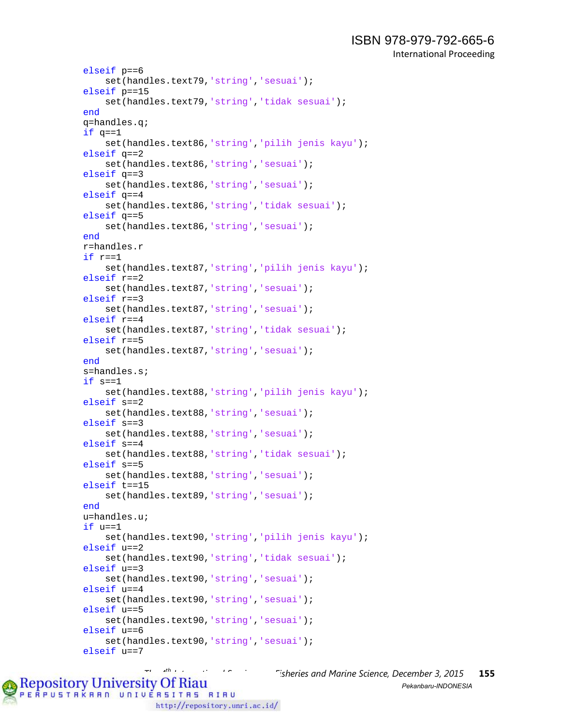```
ISBN 978-979-792-665-6 
        International Proceeding
```

```
elseif p==6
     set(handles.text79,'string','sesuai');
elseif p==15
     set(handles.text79,'string','tidak sesuai');
end
q=handles.q;
if q==1 set(handles.text86,'string','pilih jenis kayu');
elseif q==2
     set(handles.text86,'string','sesuai');
elseif q==3
     set(handles.text86,'string','sesuai');
elseif q==4
     set(handles.text86,'string','tidak sesuai');
elseif q==5
    set(handles.text86,'string','sesuai');
end
r=handles.r
if r==1
     set(handles.text87,'string','pilih jenis kayu');
elseif r==2
     set(handles.text87,'string','sesuai');
elseif r==3
     set(handles.text87,'string','sesuai');
elseif r==4
     set(handles.text87,'string','tidak sesuai');
elseif r==5
     set(handles.text87,'string','sesuai');
end
s=handles.s;
if s==1
     set(handles.text88,'string','pilih jenis kayu');
elseif s==2
     set(handles.text88,'string','sesuai');
elseif s==3
     set(handles.text88,'string','sesuai');
elseif s==4
     set(handles.text88,'string','tidak sesuai');
elseif s==5
     set(handles.text88,'string','sesuai');
elseif t==15
     set(handles.text89,'string','sesuai');
end
u=handles.u;
if u==1
     set(handles.text90,'string','pilih jenis kayu');
elseif u==2
     set(handles.text90,'string','tidak sesuai');
elseif u==3
     set(handles.text90,'string','sesuai');
elseif u==4
     set(handles.text90,'string','sesuai');
elseif u==5
     set(handles.text90,'string','sesuai');
elseif u==6
     set(handles.text90,'string','sesuai');
elseif u==7
```
*Tisheries and Marine Science, December 3, 2015* **155**<br>*Pekanbaru-INDONFSIA* PERPUSTAKAAN UNIVERSITAS RIAU http://repository.unri.ac.id/

*Pekanbaru-INDONESIA*